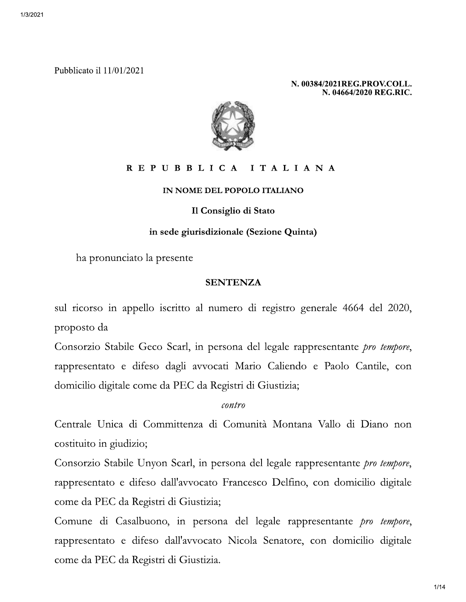Pubblicato il 11/01/2021

N. 00384/2021REG.PROV.COLL. N. 04664/2020 REG.RIC.



### REPUBBLICA ITALIANA

#### IN NOME DEL POPOLO ITALIANO

#### Il Consiglio di Stato

#### in sede giurisdizionale (Sezione Quinta)

ha pronunciato la presente

#### **SENTENZA**

sul ricorso in appello iscritto al numero di registro generale 4664 del 2020, proposto da

Consorzio Stabile Geco Scarl, in persona del legale rappresentante *pro tempore*, rappresentato e difeso dagli avvocati Mario Caliendo e Paolo Cantile, con domicilio digitale come da PEC da Registri di Giustizia;

contro

Centrale Unica di Committenza di Comunità Montana Vallo di Diano non costituito in giudizio;

Consorzio Stabile Unyon Scarl, in persona del legale rappresentante *pro tempore*, rappresentato e difeso dall'avvocato Francesco Delfino, con domicilio digitale come da PEC da Registri di Giustizia;

Comune di Casalbuono, in persona del legale rappresentante *pro tempore*, rappresentato e difeso dall'avvocato Nicola Senatore, con domicilio digitale come da PEC da Registri di Giustizia.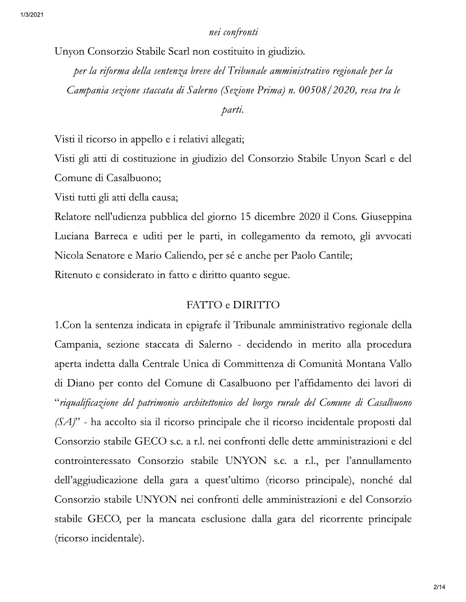## nei confronti

Unyon Consorzio Stabile Scarl non costituito in giudizio.

per la riforma della sentenza breve del Tribunale amministrativo regionale per la Campania sezione staccata di Salerno (Sezione Prima) n. 00508/2020, resa tra le

## parti.

Visti il ricorso in appello e i relativi allegati;

Visti gli atti di costituzione in giudizio del Consorzio Stabile Unyon Scarl e del Comune di Casalbuono;

Visti tutti gli atti della causa;

Relatore nell'udienza pubblica del giorno 15 dicembre 2020 il Cons. Giuseppina Luciana Barreca e uditi per le parti, in collegamento da remoto, gli avvocati Nicola Senatore e Mario Caliendo, per sé e anche per Paolo Cantile;

Ritenuto e considerato in fatto e diritto quanto segue.

## FATTO e DIRITTO

1. Con la sentenza indicata in epigrafe il Tribunale amministrativo regionale della Campania, sezione staccata di Salerno - decidendo in merito alla procedura aperta indetta dalla Centrale Unica di Committenza di Comunità Montana Vallo di Diano per conto del Comune di Casalbuono per l'affidamento dei lavori di "riqualificazione del patrimonio architettonico del borgo rurale del Comune di Casalbuono  $(SA)$ " - ha accolto sia il ricorso principale che il ricorso incidentale proposti dal Consorzio stabile GECO s.c. a r.l. nei confronti delle dette amministrazioni e del controinteressato Consorzio stabile UNYON s.c. a r.l., per l'annullamento dell'aggiudicazione della gara a quest'ultimo (ricorso principale), nonché dal Consorzio stabile UNYON nei confronti delle amministrazioni e del Consorzio stabile GECO, per la mancata esclusione dalla gara del ricorrente principale (ricorso incidentale).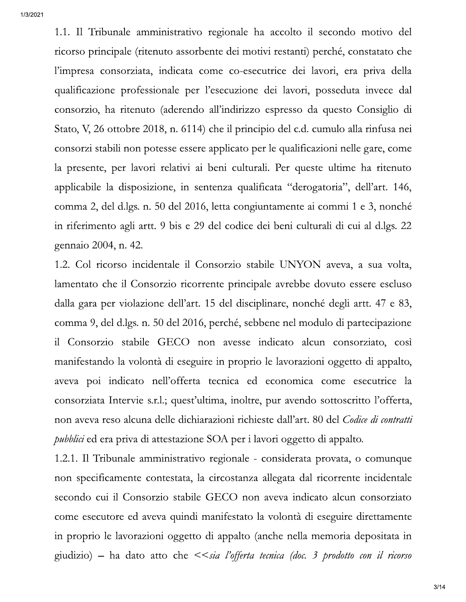1/3/2021

1.1. Il Tribunale amministrativo regionale ha accolto il secondo motivo del ricorso principale (ritenuto assorbente dei motivi restanti) perché, constatato che l'impresa consorziata, indicata come co-esecutrice dei lavori, era priva della qualificazione professionale per l'esecuzione dei lavori, posseduta invece dal consorzio, ha ritenuto (aderendo all'indirizzo espresso da questo Consiglio di Stato, V, 26 ottobre 2018, n. 6114) che il principio del c.d. cumulo alla rinfusa nei consorzi stabili non potesse essere applicato per le qualificazioni nelle gare, come la presente, per lavori relativi ai beni culturali. Per queste ultime ha ritenuto applicabile la disposizione, in sentenza qualificata "derogatoria", dell'art. 146, comma 2, del d.lgs. n. 50 del 2016, letta congiuntamente ai commi 1 e 3, nonché in riferimento agli artt. 9 bis e 29 del codice dei beni culturali di cui al d.lgs. 22 gennaio 2004, n. 42.

1.2. Col ricorso incidentale il Consorzio stabile UNYON aveva, a sua volta, lamentato che il Consorzio ricorrente principale avrebbe dovuto essere escluso dalla gara per violazione dell'art. 15 del disciplinare, nonché degli artt. 47 e 83, comma 9, del d.lgs. n. 50 del 2016, perché, sebbene nel modulo di partecipazione il Consorzio stabile GECO non avesse indicato alcun consorziato, così manifestando la volontà di eseguire in proprio le lavorazioni oggetto di appalto, aveva poi indicato nell'offerta tecnica ed economica come esecutrice la consorziata Intervie s.r.l.; quest'ultima, inoltre, pur avendo sottoscritto l'offerta, non aveva reso alcuna delle dichiarazioni richieste dall'art. 80 del Codice di contratti *pubblici* ed era priva di attestazione SOA per i lavori oggetto di appalto.

1.2.1. Il Tribunale amministrativo regionale - considerata provata, o comunque non specificamente contestata, la circostanza allegata dal ricorrente incidentale secondo cui il Consorzio stabile GECO non aveva indicato alcun consorziato come esecutore ed aveva quindi manifestato la volontà di eseguire direttamente in proprio le lavorazioni oggetto di appalto (anche nella memoria depositata in giudizio) – ha dato atto che  $\leq$ sia l'offerta tecnica (doc. 3 prodotto con il ricorso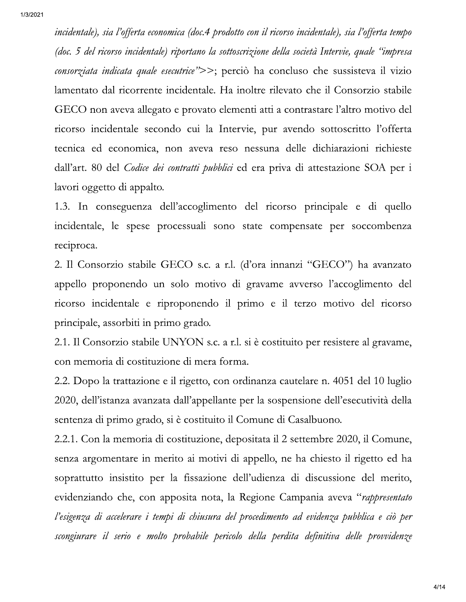incidentale), sia l'offerta economica (doc.4 prodotto con il ricorso incidentale), sia l'offerta tempo (doc. 5 del ricorso incidentale) riportano la sottoscrizione della società Intervie, quale "impresa consorziata indicata quale esecutrice">>; perciò ha concluso che sussisteva il vizio lamentato dal ricorrente incidentale. Ha inoltre rilevato che il Consorzio stabile GECO non aveva allegato e provato elementi atti a contrastare l'altro motivo del ricorso incidentale secondo cui la Intervie, pur avendo sottoscritto l'offerta tecnica ed economica, non aveva reso nessuna delle dichiarazioni richieste dall'art. 80 del Codice dei contratti pubblici ed era priva di attestazione SOA per i lavori oggetto di appalto.

1.3. In conseguenza dell'accoglimento del ricorso principale e di quello incidentale, le spese processuali sono state compensate per soccombenza reciproca.

2. Il Consorzio stabile GECO s.c. a r.l. (d'ora innanzi "GECO") ha avanzato appello proponendo un solo motivo di gravame avverso l'accoglimento del ricorso incidentale e riproponendo il primo e il terzo motivo del ricorso principale, assorbiti in primo grado.

2.1. Il Consorzio stabile UNYON s.c. a r.l. si è costituito per resistere al gravame, con memoria di costituzione di mera forma.

2.2. Dopo la trattazione e il rigetto, con ordinanza cautelare n. 4051 del 10 luglio 2020, dell'istanza avanzata dall'appellante per la sospensione dell'esecutività della sentenza di primo grado, si è costituito il Comune di Casalbuono.

2.2.1. Con la memoria di costituzione, depositata il 2 settembre 2020, il Comune, senza argomentare in merito ai motivi di appello, ne ha chiesto il rigetto ed ha soprattutto insistito per la fissazione dell'udienza di discussione del merito, evidenziando che, con apposita nota, la Regione Campania aveva "rappresentato" l'esigenza di accelerare i tempi di chiusura del procedimento ad evidenza pubblica e ciò per scongiurare il serio e molto probabile pericolo della perdita definitiva delle provvidenze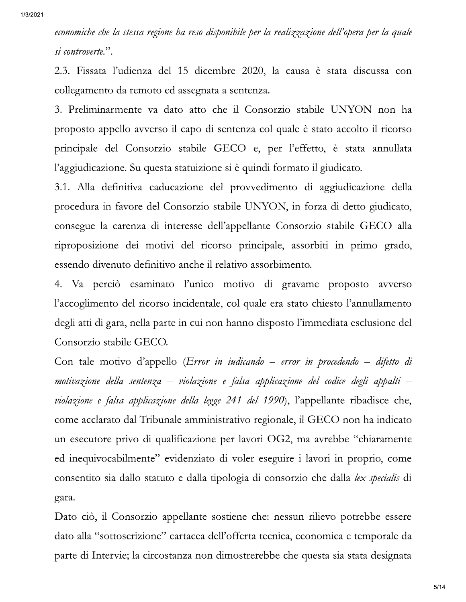economiche che la stessa regione ha reso disponibile per la realizzazione dell'opera per la quale si controverte.".

2.3. Fissata l'udienza del 15 dicembre 2020, la causa è stata discussa con collegamento da remoto ed assegnata a sentenza.

3. Preliminarmente va dato atto che il Consorzio stabile UNYON non ha proposto appello avverso il capo di sentenza col quale è stato accolto il ricorso principale del Consorzio stabile GECO e, per l'effetto, è stata annullata l'aggiudicazione. Su questa statuizione si è quindi formato il giudicato.

3.1. Alla definitiva caducazione del provvedimento di aggiudicazione della procedura in favore del Consorzio stabile UNYON, in forza di detto giudicato, consegue la carenza di interesse dell'appellante Consorzio stabile GECO alla riproposizione dei motivi del ricorso principale, assorbiti in primo grado, essendo divenuto definitivo anche il relativo assorbimento.

4. Va perciò esaminato l'unico motivo di gravame proposto avverso l'accoglimento del ricorso incidentale, col quale era stato chiesto l'annullamento degli atti di gara, nella parte in cui non hanno disposto l'immediata esclusione del Consorzio stabile GECO.

Con tale motivo d'appello (Error in indicando - error in procedendo - difetto di motivazione della sentenza – violazione e falsa applicazione del codice degli appalti – violazione e falsa applicazione della legge 241 del 1990), l'appellante ribadisce che, come acclarato dal Tribunale amministrativo regionale, il GECO non ha indicato un esecutore privo di qualificazione per lavori OG2, ma avrebbe "chiaramente" ed inequivocabilmente" evidenziato di voler eseguire i lavori in proprio, come consentito sia dallo statuto e dalla tipologia di consorzio che dalla lex specialis di gara.

Dato ciò, il Consorzio appellante sostiene che: nessun rilievo potrebbe essere dato alla "sottoscrizione" cartacea dell'offerta tecnica, economica e temporale da parte di Intervie; la circostanza non dimostrerebbe che questa sia stata designata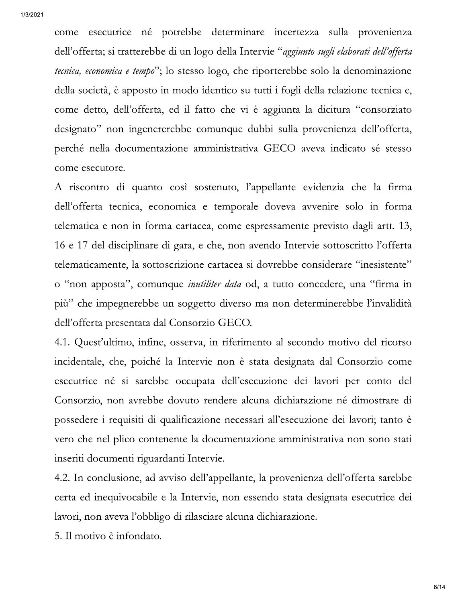come esecutrice né potrebbe determinare incertezza sulla provenienza dell'offerta; si tratterebbe di un logo della Intervie "aggiunto sugli elaborati dell'offerta tecnica, economica e tempo"; lo stesso logo, che riporterebbe solo la denominazione della società, è apposto in modo identico su tutti i fogli della relazione tecnica e, come detto, dell'offerta, ed il fatto che vi è aggiunta la dicitura "consorziato designato" non ingenererebbe comunque dubbi sulla provenienza dell'offerta, perché nella documentazione amministrativa GECO aveva indicato sé stesso come esecutore.

A riscontro di quanto così sostenuto, l'appellante evidenzia che la firma dell'offerta tecnica, economica e temporale doveva avvenire solo in forma telematica e non in forma cartacea, come espressamente previsto dagli artt. 13, 16 e 17 del disciplinare di gara, e che, non avendo Intervie sottoscritto l'offerta telematicamente, la sottoscrizione cartacea si dovrebbe considerare "inesistente" o "non apposta", comunque *inutiliter data* od, a tutto concedere, una "firma in più" che impegnerebbe un soggetto diverso ma non determinerebbe l'invalidità dell'offerta presentata dal Consorzio GECO.

4.1. Quest'ultimo, infine, osserva, in riferimento al secondo motivo del ricorso incidentale, che, poiché la Intervie non è stata designata dal Consorzio come esecutrice né si sarebbe occupata dell'esecuzione dei lavori per conto del Consorzio, non avrebbe dovuto rendere alcuna dichiarazione né dimostrare di possedere i requisiti di qualificazione necessari all'esecuzione dei lavori; tanto è vero che nel plico contenente la documentazione amministrativa non sono stati inseriti documenti riguardanti Intervie.

4.2. In conclusione, ad avviso dell'appellante, la provenienza dell'offerta sarebbe certa ed inequivocabile e la Intervie, non essendo stata designata esecutrice dei lavori, non aveva l'obbligo di rilasciare alcuna dichiarazione.

5. Il motivo è infondato.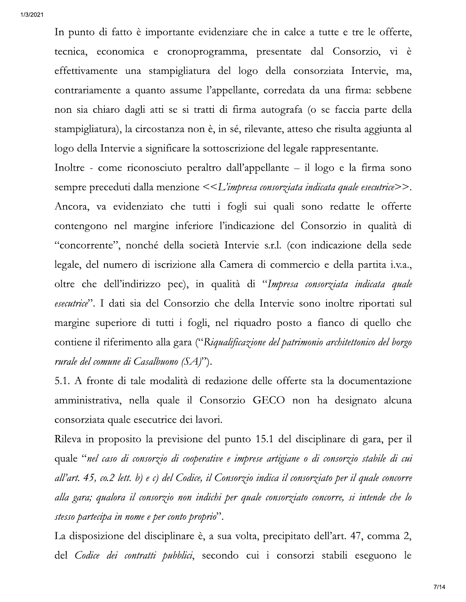In punto di fatto è importante evidenziare che in calce a tutte e tre le offerte, tecnica, economica e cronoprogramma, presentate dal Consorzio, vi è effettivamente una stampigliatura del logo della consorziata Intervie, ma, contrariamente a quanto assume l'appellante, corredata da una firma: sebbene non sia chiaro dagli atti se si tratti di firma autografa (o se faccia parte della stampigliatura), la circostanza non è, in sé, rilevante, atteso che risulta aggiunta al logo della Intervie a significare la sottoscrizione del legale rappresentante.

Inoltre - come riconosciuto peraltro dall'appellante – il logo e la firma sono sempre preceduti dalla menzione <<L'impresa consorziata indicata quale esecutrice>>. Ancora, va evidenziato che tutti i fogli sui quali sono redatte le offerte contengono nel margine inferiore l'indicazione del Consorzio in qualità di "concorrente", nonché della società Intervie s.r.l. (con indicazione della sede legale, del numero di iscrizione alla Camera di commercio e della partita i.v.a., oltre che dell'indirizzo pec), in qualità di "Impresa consorziata indicata quale esecutrice". I dati sia del Consorzio che della Intervie sono inoltre riportati sul margine superiore di tutti i fogli, nel riquadro posto a fianco di quello che contiene il riferimento alla gara ("Riqualificazione del patrimonio architettonico del borgo rurale del comune di Casalbuono  $(SA)$ ").

5.1. A fronte di tale modalità di redazione delle offerte sta la documentazione amministrativa, nella quale il Consorzio GECO non ha designato alcuna consorziata quale esecutrice dei lavori.

Rileva in proposito la previsione del punto 15.1 del disciplinare di gara, per il quale "nel caso di consorzio di cooperative e imprese artigiane o di consorzio stabile di cui all'art. 45, co.2 lett. b) e c) del Codice, il Consorzio indica il consorziato per il quale concorre alla gara; qualora il consorzio non indichi per quale consorziato concorre, si intende che lo stesso partecipa in nome e per conto proprio".

La disposizione del disciplinare è, a sua volta, precipitato dell'art. 47, comma 2, del Codice dei contratti pubblici, secondo cui i consorzi stabili eseguono le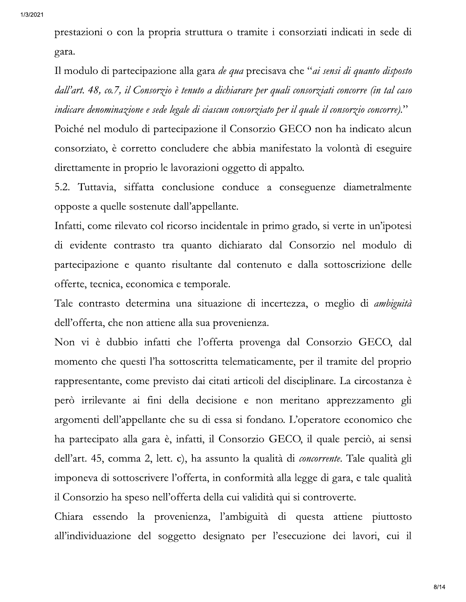prestazioni o con la propria struttura o tramite i consorziati indicati in sede di gara.

Il modulo di partecipazione alla gara *de qua* precisava che "*ai sensi di quanto disposto* dall'art. 48, co.7, il Consorzio è tenuto a dichiarare per quali consorziati concorre (in tal caso indicare denominazione e sede legale di ciascun consorziato per il quale il consorzio concorre)."

Poiché nel modulo di partecipazione il Consorzio GECO non ha indicato alcun consorziato, è corretto concludere che abbia manifestato la volontà di eseguire direttamente in proprio le lavorazioni oggetto di appalto.

5.2. Tuttavia, siffatta conclusione conduce a conseguenze diametralmente opposte a quelle sostenute dall'appellante.

Infatti, come rilevato col ricorso incidentale in primo grado, si verte in un'ipotesi di evidente contrasto tra quanto dichiarato dal Consorzio nel modulo di partecipazione e quanto risultante dal contenuto e dalla sottoscrizione delle offerte, tecnica, economica e temporale.

Tale contrasto determina una situazione di incertezza, o meglio di ambiguità dell'offerta, che non attiene alla sua provenienza.

Non vi è dubbio infatti che l'offerta provenga dal Consorzio GECO, dal momento che questi l'ha sottoscritta telematicamente, per il tramite del proprio rappresentante, come previsto dai citati articoli del disciplinare. La circostanza è però irrilevante ai fini della decisione e non meritano apprezzamento gli argomenti dell'appellante che su di essa si fondano. L'operatore economico che ha partecipato alla gara è, infatti, il Consorzio GECO, il quale perciò, ai sensi dell'art. 45, comma 2, lett. c), ha assunto la qualità di *concorrente*. Tale qualità gli imponeva di sottoscrivere l'offerta, in conformità alla legge di gara, e tale qualità il Consorzio ha speso nell'offerta della cui validità qui si controverte.

Chiara essendo la provenienza, l'ambiguità di questa attiene piuttosto all'individuazione del soggetto designato per l'esecuzione dei lavori, cui il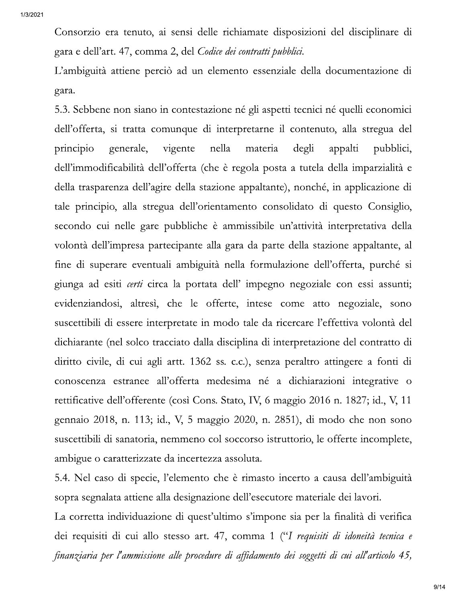Consorzio era tenuto, ai sensi delle richiamate disposizioni del disciplinare di gara e dell'art. 47, comma 2, del Codice dei contratti pubblici.

L'ambiguità attiene perciò ad un elemento essenziale della documentazione di gara.

5.3. Sebbene non siano in contestazione né gli aspetti tecnici né quelli economici dell'offerta, si tratta comunque di interpretarne il contenuto, alla stregua del principio generale, vigente nella materia degli appalti pubblici, dell'immodificabilità dell'offerta (che è regola posta a tutela della imparzialità e della trasparenza dell'agire della stazione appaltante), nonché, in applicazione di tale principio, alla stregua dell'orientamento consolidato di questo Consiglio, secondo cui nelle gare pubbliche è ammissibile un'attività interpretativa della volontà dell'impresa partecipante alla gara da parte della stazione appaltante, al fine di superare eventuali ambiguità nella formulazione dell'offerta, purché si giunga ad esiti *certi* circa la portata dell' impegno negoziale con essi assunti; evidenziandosi, altresì, che le offerte, intese come atto negoziale, sono suscettibili di essere interpretate in modo tale da ricercare l'effettiva volontà del dichiarante (nel solco tracciato dalla disciplina di interpretazione del contratto di diritto civile, di cui agli artt. 1362 ss. c.c.), senza peraltro attingere a fonti di conoscenza estranee all'offerta medesima né a dichiarazioni integrative o rettificative dell'offerente (così Cons. Stato, IV, 6 maggio 2016 n. 1827; id., V, 11 gennaio 2018, n. 113; id., V, 5 maggio 2020, n. 2851), di modo che non sono suscettibili di sanatoria, nemmeno col soccorso istruttorio, le offerte incomplete, ambigue o caratterizzate da incertezza assoluta.

5.4. Nel caso di specie, l'elemento che è rimasto incerto a causa dell'ambiguità sopra segnalata attiene alla designazione dell'esecutore materiale dei lavori.

La corretta individuazione di quest'ultimo s'impone sia per la finalità di verifica dei requisiti di cui allo stesso art. 47, comma 1 ("I requisiti di idoneità tecnica e finanziaria per l'ammissione alle procedure di affidamento dei soggetti di cui all'articolo 45,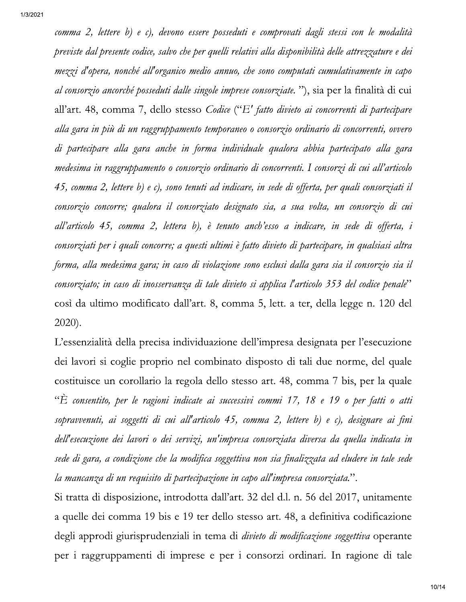comma 2, lettere b) e c), devono essere posseduti e comprovati dagli stessi con le modalità previste dal presente codice, salvo che per quelli relativi alla disponibilità delle attrezzature e dei mezzi d'opera, nonché all'organico medio annuo, che sono computati cumulativamente in capo *al consorzio ancorché posseduti dalle singole imprese consorziate.*"), sia per la finalità di cui all'art. 48, comma 7, dello stesso Codice ("E' fatto divieto ai concorrenti di partecipare alla gara in più di un raggruppamento temporaneo o consorzio ordinario di concorrenti, ovvero di partecipare alla gara anche in forma individuale qualora abbia partecipato alla gara medesima in raggruppamento o consorzio ordinario di concorrenti. I consorzi di cui all'articolo 45, comma 2, lettere b) e c), sono tenuti ad indicare, in sede di offerta, per quali consorziati il consorzio concorre; qualora il consorziato designato sia, a sua volta, un consorzio di cui all'articolo 45, comma 2, lettera b), è tenuto anch'esso a indicare, in sede di offerta, i consorziati per i quali concorre; a questi ultimi è fatto divieto di partecipare, in qualsiasi altra forma, alla medesima gara; in caso di violazione sono esclusi dalla gara sia il consorzio sia il consorziato; in caso di inosservanza di tale divieto si applica l'articolo 353 del codice penale" così da ultimo modificato dall'art. 8, comma 5, lett. a ter, della legge n. 120 del 2020).

L'essenzialità della precisa individuazione dell'impresa designata per l'esecuzione dei lavori si coglie proprio nel combinato disposto di tali due norme, del quale costituisce un corollario la regola dello stesso art. 48, comma 7 bis, per la quale "È consentito, per le ragioni indicate ai successivi commi 17, 18 e 19 o per fatti o atti sopravvenuti, ai soggetti di cui all'articolo 45, comma 2, lettere b) e c), designare ai fini dell'esecuzione dei lavori o dei servizi, un'impresa consorziata diversa da quella indicata in sede di gara, a condizione che la modifica soggettiva non sia finalizzata ad eludere in tale sede la mancanza di un requisito di partecipazione in capo all'impresa consorziata.".

Si tratta di disposizione, introdotta dall'art. 32 del d.l. n. 56 del 2017, unitamente a quelle dei comma 19 bis e 19 ter dello stesso art. 48, a definitiva codificazione degli approdi giurisprudenziali in tema di *divieto di modificazione soggettiva* operante per i raggruppamenti di imprese e per i consorzi ordinari. In ragione di tale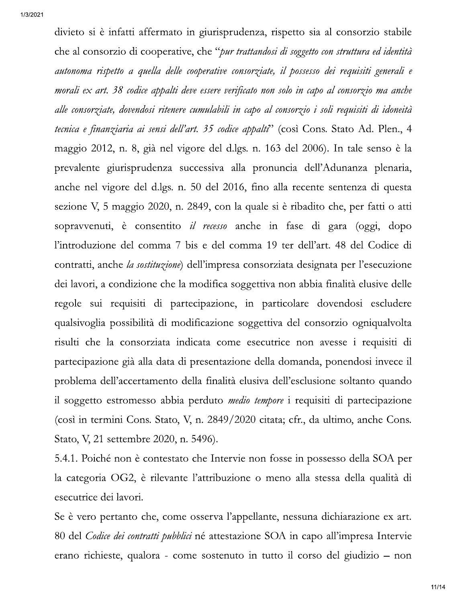divieto si è infatti affermato in giurisprudenza, rispetto sia al consorzio stabile che al consorzio di cooperative, che "pur trattandosi di soggetto con struttura ed identità autonoma rispetto a quella delle cooperative consorziate, il possesso dei requisiti generali e morali ex art. 38 codice appalti deve essere verificato non solo in capo al consorzio ma anche alle consorziate, dovendosi ritenere cumulabili in capo al consorzio i soli requisiti di idoneità tecnica e finanziaria ai sensi dell'art. 35 codice appalti<sup>2</sup> (così Cons. Stato Ad. Plen., 4 maggio 2012, n. 8, già nel vigore del d.lgs. n. 163 del 2006). In tale senso è la prevalente giurisprudenza successiva alla pronuncia dell'Adunanza plenaria, anche nel vigore del d.lgs. n. 50 del 2016, fino alla recente sentenza di questa sezione V, 5 maggio 2020, n. 2849, con la quale si è ribadito che, per fatti o atti sopravvenuti, è consentito *il recesso* anche in fase di gara (oggi, dopo l'introduzione del comma 7 bis e del comma 19 ter dell'art. 48 del Codice di contratti, anche la sostituzione) dell'impresa consorziata designata per l'esecuzione dei lavori, a condizione che la modifica soggettiva non abbia finalità elusive delle regole sui requisiti di partecipazione, in particolare dovendosi escludere qualsivoglia possibilità di modificazione soggettiva del consorzio ogniqualvolta risulti che la consorziata indicata come esecutrice non avesse i requisiti di partecipazione già alla data di presentazione della domanda, ponendosi invece il problema dell'accertamento della finalità elusiva dell'esclusione soltanto quando il soggetto estromesso abbia perduto *medio tempore* i requisiti di partecipazione (così in termini Cons. Stato, V, n. 2849/2020 citata; cfr., da ultimo, anche Cons. Stato, V, 21 settembre 2020, n. 5496).

5.4.1. Poiché non è contestato che Intervie non fosse in possesso della SOA per la categoria OG2, è rilevante l'attribuzione o meno alla stessa della qualità di esecutrice dei lavori.

Se è vero pertanto che, come osserva l'appellante, nessuna dichiarazione ex art. 80 del Codice dei contratti pubblici né attestazione SOA in capo all'impresa Intervie erano richieste, qualora - come sostenuto in tutto il corso del giudizio - non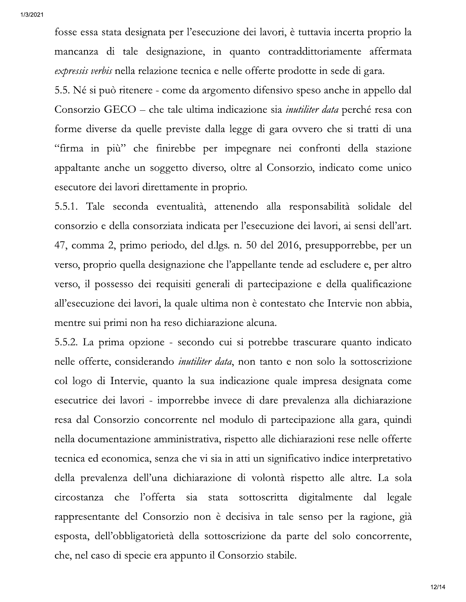fosse essa stata designata per l'esecuzione dei lavori, è tuttavia incerta proprio la mancanza di tale designazione, in quanto contraddittoriamente affermata expressis verbis nella relazione tecnica e nelle offerte prodotte in sede di gara.

5.5. Né si può ritenere - come da argomento difensivo speso anche in appello dal Consorzio GECO – che tale ultima indicazione sia *inutiliter data* perché resa con forme diverse da quelle previste dalla legge di gara ovvero che si tratti di una "firma in più" che finirebbe per impegnare nei confronti della stazione appaltante anche un soggetto diverso, oltre al Consorzio, indicato come unico esecutore dei lavori direttamente in proprio.

5.5.1. Tale seconda eventualità, attenendo alla responsabilità solidale del consorzio e della consorziata indicata per l'esecuzione dei lavori, ai sensi dell'art. 47, comma 2, primo periodo, del d.lgs. n. 50 del 2016, presupporrebbe, per un verso, proprio quella designazione che l'appellante tende ad escludere e, per altro verso, il possesso dei requisiti generali di partecipazione e della qualificazione all'esecuzione dei lavori, la quale ultima non è contestato che Intervie non abbia, mentre sui primi non ha reso dichiarazione alcuna.

5.5.2. La prima opzione - secondo cui si potrebbe trascurare quanto indicato nelle offerte, considerando *inutiliter data*, non tanto e non solo la sottoscrizione col logo di Intervie, quanto la sua indicazione quale impresa designata come esecutrice dei lavori - imporrebbe invece di dare prevalenza alla dichiarazione resa dal Consorzio concorrente nel modulo di partecipazione alla gara, quindi nella documentazione amministrativa, rispetto alle dichiarazioni rese nelle offerte tecnica ed economica, senza che vi sia in atti un significativo indice interpretativo della prevalenza dell'una dichiarazione di volontà rispetto alle altre. La sola che l'offerta sia stata sottoscritta digitalmente dal legale circostanza rappresentante del Consorzio non è decisiva in tale senso per la ragione, già esposta, dell'obbligatorietà della sottoscrizione da parte del solo concorrente, che, nel caso di specie era appunto il Consorzio stabile.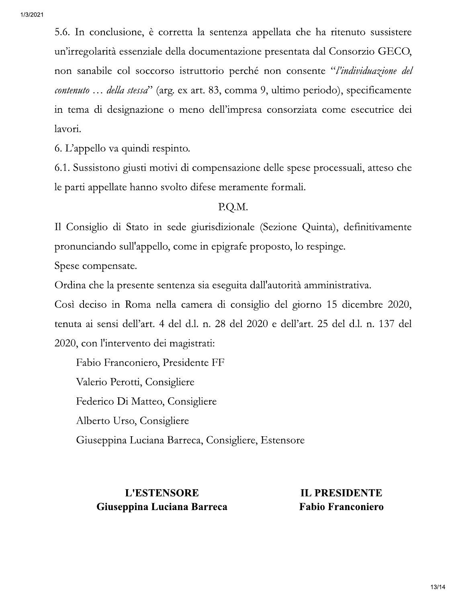5.6. In conclusione, è corretta la sentenza appellata che ha ritenuto sussistere un'irregolarità essenziale della documentazione presentata dal Consorzio GECO, non sanabile col soccorso istruttorio perché non consente "l'individuazione del *contenuto* ... *della stessa*" (arg. ex art. 83, comma 9, ultimo periodo), specificamente in tema di designazione o meno dell'impresa consorziata come esecutrice dei lavori.

6. L'appello va quindi respinto.

6.1. Sussistono giusti motivi di compensazione delle spese processuali, atteso che le parti appellate hanno svolto difese meramente formali.

### P.Q.M.

Il Consiglio di Stato in sede giurisdizionale (Sezione Quinta), definitivamente pronunciando sull'appello, come in epigrafe proposto, lo respinge.

Spese compensate.

Ordina che la presente sentenza sia eseguita dall'autorità amministrativa.

Così deciso in Roma nella camera di consiglio del giorno 15 dicembre 2020, tenuta ai sensi dell'art. 4 del d.l. n. 28 del 2020 e dell'art. 25 del d.l. n. 137 del 2020, con l'intervento dei magistrati:

Fabio Franconiero, Presidente FF Valerio Perotti, Consigliere Federico Di Matteo, Consigliere Alberto Urso, Consigliere Giuseppina Luciana Barreca, Consigliere, Estensore

## **L'ESTENSORE** Giuseppina Luciana Barreca

**IL PRESIDENTE Fabio Franconiero**